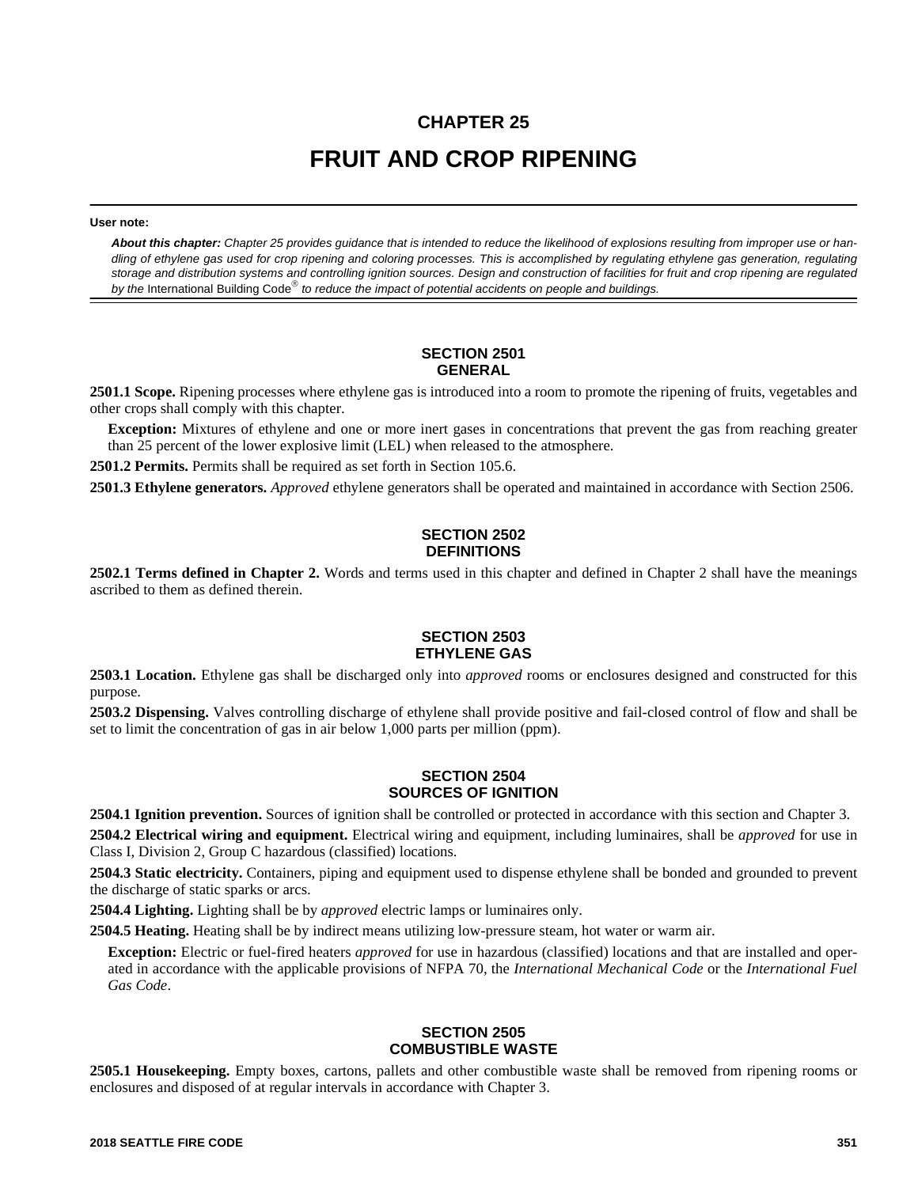# **CHAPTER 25 FRUIT AND CROP RIPENING**

**User note:**

*About this chapter: Chapter 25 provides guidance that is intended to reduce the likelihood of explosions resulting from improper use or handling of ethylene gas used for crop ripening and coloring processes. This is accomplished by regulating ethylene gas generation, regulating storage and distribution systems and controlling ignition sources. Design and construction of facilities for fruit and crop ripening are regulated* by the International Building Code<sup>®</sup> to reduce the impact of potential accidents on people and buildings.

### **SECTION 2501 GENERAL**

**2501.1 Scope.** Ripening processes where ethylene gas is introduced into a room to promote the ripening of fruits, vegetables and other crops shall comply with this chapter.

**Exception:** Mixtures of ethylene and one or more inert gases in concentrations that prevent the gas from reaching greater than 25 percent of the lower explosive limit (LEL) when released to the atmosphere.

**2501.2 Permits.** Permits shall be required as set forth in Section 105.6.

**2501.3 Ethylene generators.** *Approved* ethylene generators shall be operated and maintained in accordance with Section 2506.

# **SECTION 2502 DEFINITIONS**

**2502.1 Terms defined in Chapter 2.** Words and terms used in this chapter and defined in Chapter 2 shall have the meanings ascribed to them as defined therein.

#### **SECTION 2503 ETHYLENE GAS**

**2503.1 Location.** Ethylene gas shall be discharged only into *approved* rooms or enclosures designed and constructed for this purpose.

**2503.2 Dispensing.** Valves controlling discharge of ethylene shall provide positive and fail-closed control of flow and shall be set to limit the concentration of gas in air below 1,000 parts per million (ppm).

#### **SECTION 2504 SOURCES OF IGNITION**

**2504.1 Ignition prevention.** Sources of ignition shall be controlled or protected in accordance with this section and Chapter 3.

**2504.2 Electrical wiring and equipment.** Electrical wiring and equipment, including luminaires, shall be *approved* for use in Class I, Division 2, Group C hazardous (classified) locations.

**2504.3 Static electricity.** Containers, piping and equipment used to dispense ethylene shall be bonded and grounded to prevent the discharge of static sparks or arcs.

**2504.4 Lighting.** Lighting shall be by *approved* electric lamps or luminaires only.

**2504.5 Heating.** Heating shall be by indirect means utilizing low-pressure steam, hot water or warm air.

**Exception:** Electric or fuel-fired heaters *approved* for use in hazardous (classified) locations and that are installed and operated in accordance with the applicable provisions of NFPA 70, the *International Mechanical Code* or the *International Fuel Gas Code*.

#### **SECTION 2505 COMBUSTIBLE WASTE**

**2505.1 Housekeeping.** Empty boxes, cartons, pallets and other combustible waste shall be removed from ripening rooms or enclosures and disposed of at regular intervals in accordance with Chapter 3.